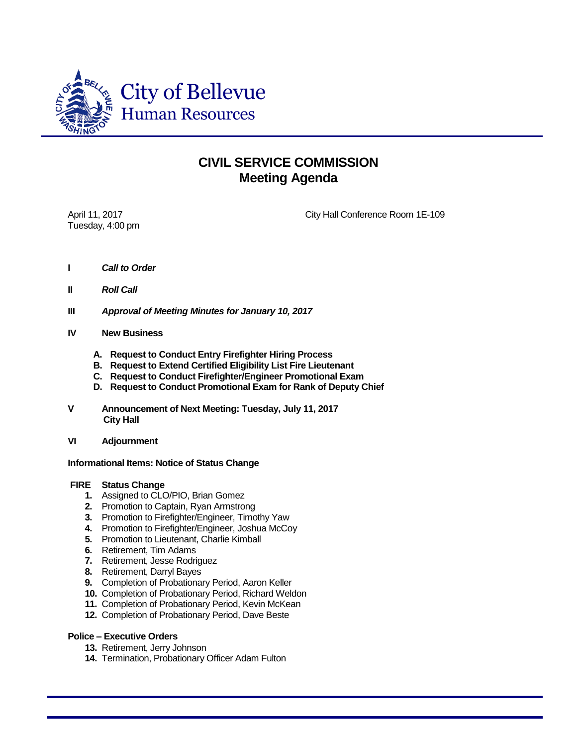

## **CIVIL SERVICE COMMISSION Meeting Agenda**

Tuesday, 4:00 pm

April 11, 2017 City Hall Conference Room 1E-109

- **I** *Call to Order*
- **II** *Roll Call*
- **III** *Approval of Meeting Minutes for January 10, 2017*
- **IV New Business**
	- **A. Request to Conduct Entry Firefighter Hiring Process**
	- **B. Request to Extend Certified Eligibility List Fire Lieutenant**
	- **C. Request to Conduct Firefighter/Engineer Promotional Exam**
	- **D. Request to Conduct Promotional Exam for Rank of Deputy Chief**
- **V Announcement of Next Meeting: Tuesday, July 11, 2017 City Hall**
- **VI Adjournment**

## **Informational Items: Notice of Status Change**

## **FIRE Status Change**

- **1.** Assigned to CLO/PIO, Brian Gomez
- **2.** Promotion to Captain, Ryan Armstrong
- **3.** Promotion to Firefighter/Engineer, Timothy Yaw
- **4.** Promotion to Firefighter/Engineer, Joshua McCoy
- **5.** Promotion to Lieutenant, Charlie Kimball
- **6.** Retirement, Tim Adams
- **7.** Retirement, Jesse Rodriguez
- **8.** Retirement, Darryl Bayes
- **9.** Completion of Probationary Period, Aaron Keller
- **10.** Completion of Probationary Period, Richard Weldon
- **11.** Completion of Probationary Period, Kevin McKean
- **12.** Completion of Probationary Period, Dave Beste

## **Police – Executive Orders**

- **13.** Retirement, Jerry Johnson
- **14.** Termination, Probationary Officer Adam Fulton